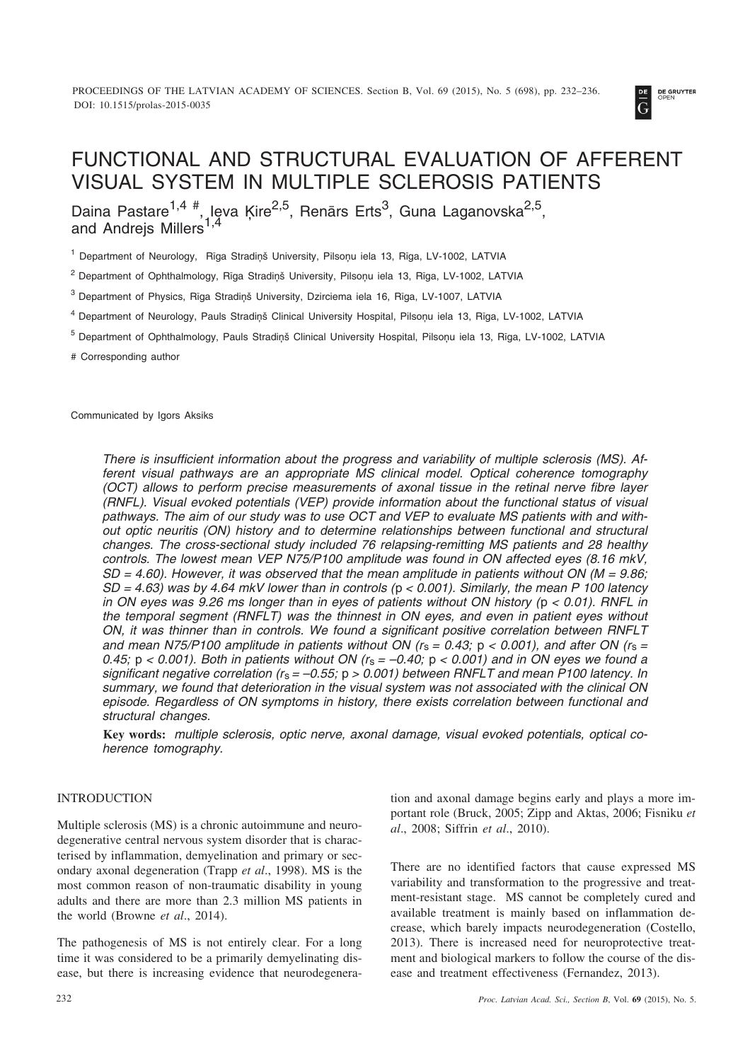

# FUNCTIONAL AND STRUCTURAL EVALUATION OF AFFERENT VISUAL SYSTEM IN MULTIPLE SCLEROSIS PATIENTS

Daina Pastare<sup>1,4 #</sup>, Ieva Ķire<sup>2,5</sup>, Renārs Erts<sup>3</sup>, Guna Laganovska<sup>2,5</sup>, and Andreis Millers<sup>1</sup>

<sup>1</sup> Department of Neurology, Rīga Stradiņš University, Pilsoņu iela 13, Rīga, LV-1002, LATVIA

<sup>2</sup> Department of Ophthalmology, Rīga Stradiņš University, Pilsoņu iela 13, Rīga, LV-1002, LATVIA

<sup>3</sup> Department of Physics, Rīga Stradiņš University, Dzirciema iela 16, Rīga, LV-1007, LATVIA

<sup>4</sup> Department of Neurology, Pauls Stradinš Clinical University Hospital, Pilsonu iela 13, Rīga, LV-1002, LATVIA

<sup>5</sup> Department of Ophthalmology, Pauls Stradinš Clinical University Hospital, Pilsonu iela 13, Rīga, LV-1002, LATVIA

# Corresponding author

Communicated by Igors Aksiks

*There is insufficient information about the progress and variability of multiple sclerosis (MS). Afferent visual pathways are an appropriate MS clinical model. Optical coherence tomography (OCT) allows to perform precise measurements of axonal tissue in the retinal nerve fibre layer (RNFL). Visual evoked potentials (VEP) provide information about the functional status of visual pathways. The aim of our study was to use OCT and VEP to evaluate MS patients with and without optic neuritis (ON) history and to determine relationships between functional and structural changes. The cross-sectional study included 76 relapsing-remitting MS patients and 28 healthy controls. The lowest mean VEP N75/P100 amplitude was found in ON affected eyes (8.16 mkV, SD = 4.60). However, it was observed that the mean amplitude in patients without ON (M = 9.86; SD = 4.63) was by 4.64 mkV lower than in controls (*p *< 0.001). Similarly, the mean P 100 latency in ON eyes was 9.26 ms longer than in eyes of patients without ON history (*p *< 0.01). RNFL in the temporal segment (RNFLT) was the thinnest in ON eyes, and even in patient eyes without ON, it was thinner than in controls. We found a significant positive correlation between RNFLT* and mean N75/P100 amplitude in patients without ON ( $r_s = 0.43$ ;  $p < 0.001$ ), and after ON ( $r_s =$ *0.45;* p *< 0.001). Both in patients without ON (r*s *= –0.40;* p *< 0.001) and in ON eyes we found a significant negative correlation (r*s *= –0.55;* p *> 0.001) between RNFLT and mean P100 latency. In summary, we found that deterioration in the visual system was not associated with the clinical ON episode. Regardless of ON symptoms in history, there exists correlation between functional and structural changes.*

**Key words:** *multiple sclerosis, optic nerve, axonal damage, visual evoked potentials, optical coherence tomography.*

# INTRODUCTION

Multiple sclerosis (MS) is a chronic autoimmune and neurodegenerative central nervous system disorder that is characterised by inflammation, demyelination and primary or secondary axonal degeneration (Trapp *et al*., 1998). MS is the most common reason of non-traumatic disability in young adults and there are more than 2.3 million MS patients in the world (Browne *et al*., 2014).

The pathogenesis of MS is not entirely clear. For a long time it was considered to be a primarily demyelinating disease, but there is increasing evidence that neurodegeneration and axonal damage begins early and plays a more important role (Bruck, 2005; Zipp and Aktas, 2006; Fisniku *et al*., 2008; Siffrin *et al*., 2010).

There are no identified factors that cause expressed MS variability and transformation to the progressive and treatment-resistant stage. MS cannot be completely cured and available treatment is mainly based on inflammation decrease, which barely impacts neurodegeneration (Costello, 2013). There is increased need for neuroprotective treatment and biological markers to follow the course of the disease and treatment effectiveness (Fernandez, 2013).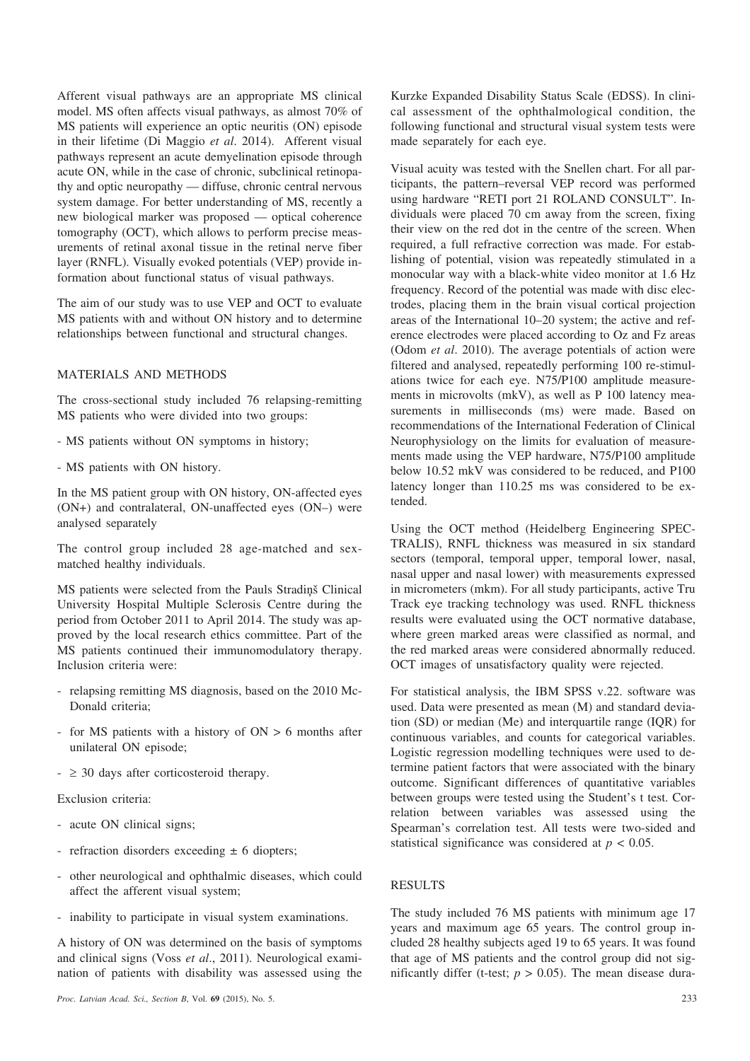Afferent visual pathways are an appropriate MS clinical model. MS often affects visual pathways, as almost 70% of MS patients will experience an optic neuritis (ON) episode in their lifetime (Di Maggio *et al*. 2014). Afferent visual pathways represent an acute demyelination episode through acute ON, while in the case of chronic, subclinical retinopathy and optic neuropathy — diffuse, chronic central nervous system damage. For better understanding of MS, recently a new biological marker was proposed — optical coherence tomography (OCT), which allows to perform precise measurements of retinal axonal tissue in the retinal nerve fiber layer (RNFL). Visually evoked potentials (VEP) provide information about functional status of visual pathways.

The aim of our study was to use VEP and OCT to evaluate MS patients with and without ON history and to determine relationships between functional and structural changes.

### MATERIALS AND METHODS

The cross-sectional study included 76 relapsing-remitting MS patients who were divided into two groups:

- MS patients without ON symptoms in history;
- MS patients with ON history.

In the MS patient group with ON history, ON-affected eyes (ON+) and contralateral, ON-unaffected eyes (ON–) were analysed separately

The control group included 28 age-matched and sexmatched healthy individuals.

MS patients were selected from the Pauls Stradinš Clinical University Hospital Multiple Sclerosis Centre during the period from October 2011 to April 2014. The study was approved by the local research ethics committee. Part of the MS patients continued their immunomodulatory therapy. Inclusion criteria were:

- relapsing remitting MS diagnosis, based on the 2010 Mc-Donald criteria;
- for MS patients with a history of ON > 6 months after unilateral ON episode;
- $\geq 30$  days after corticosteroid therapy.

Exclusion criteria:

- acute ON clinical signs;
- refraction disorders exceeding  $\pm$  6 diopters;
- other neurological and ophthalmic diseases, which could affect the afferent visual system;
- inability to participate in visual system examinations.

A history of ON was determined on the basis of symptoms and clinical signs (Voss *et al*., 2011). Neurological examination of patients with disability was assessed using the

Kurzke Expanded Disability Status Scale (EDSS). In clinical assessment of the ophthalmological condition, the following functional and structural visual system tests were made separately for each eye.

Visual acuity was tested with the Snellen chart. For all participants, the pattern–reversal VEP record was performed using hardware "RETI port 21 ROLAND CONSULT". Individuals were placed 70 cm away from the screen, fixing their view on the red dot in the centre of the screen. When required, a full refractive correction was made. For establishing of potential, vision was repeatedly stimulated in a monocular way with a black-white video monitor at 1.6 Hz frequency. Record of the potential was made with disc electrodes, placing them in the brain visual cortical projection areas of the International 10–20 system; the active and reference electrodes were placed according to Oz and Fz areas (Odom *et al*. 2010). The average potentials of action were filtered and analysed, repeatedly performing 100 re-stimulations twice for each eye. N75/P100 amplitude measurements in microvolts (mkV), as well as P 100 latency measurements in milliseconds (ms) were made. Based on recommendations of the International Federation of Clinical Neurophysiology on the limits for evaluation of measurements made using the VEP hardware, N75/P100 amplitude below 10.52 mkV was considered to be reduced, and P100 latency longer than 110.25 ms was considered to be extended.

Using the OCT method (Heidelberg Engineering SPEC-TRALIS), RNFL thickness was measured in six standard sectors (temporal, temporal upper, temporal lower, nasal, nasal upper and nasal lower) with measurements expressed in micrometers (mkm). For all study participants, active Tru Track eye tracking technology was used. RNFL thickness results were evaluated using the OCT normative database, where green marked areas were classified as normal, and the red marked areas were considered abnormally reduced. OCT images of unsatisfactory quality were rejected.

For statistical analysis, the IBM SPSS v.22. software was used. Data were presented as mean (M) and standard deviation (SD) or median (Me) and interquartile range (IQR) for continuous variables, and counts for categorical variables. Logistic regression modelling techniques were used to determine patient factors that were associated with the binary outcome. Significant differences of quantitative variables between groups were tested using the Student's t test. Correlation between variables was assessed using the Spearman's correlation test. All tests were two-sided and statistical significance was considered at  $p < 0.05$ .

### RESULTS

The study included 76 MS patients with minimum age 17 years and maximum age 65 years. The control group included 28 healthy subjects aged 19 to 65 years. It was found that age of MS patients and the control group did not significantly differ (t-test;  $p > 0.05$ ). The mean disease dura-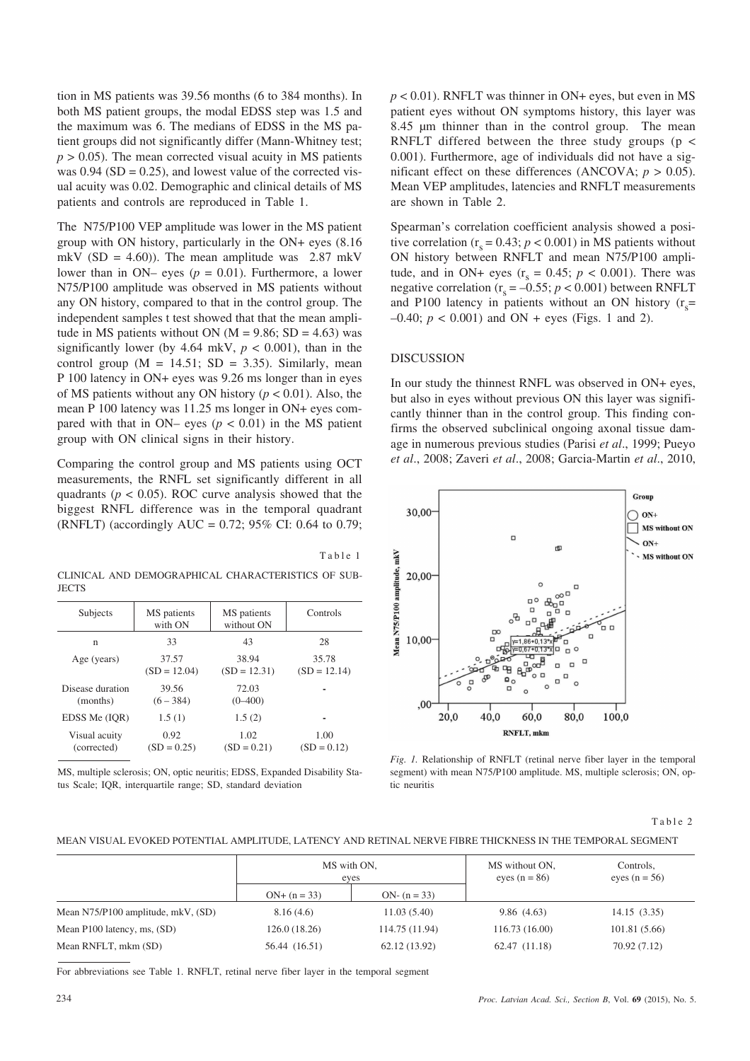tion in MS patients was 39.56 months (6 to 384 months). In both MS patient groups, the modal EDSS step was 1.5 and the maximum was 6. The medians of EDSS in the MS patient groups did not significantly differ (Mann-Whitney test;  $p > 0.05$ ). The mean corrected visual acuity in MS patients was  $0.94$  (SD = 0.25), and lowest value of the corrected visual acuity was 0.02. Demographic and clinical details of MS patients and controls are reproduced in Table 1.

The N75/P100 VEP amplitude was lower in the MS patient group with ON history, particularly in the ON+ eyes (8.16 mkV (SD = 4.60)). The mean amplitude was  $2.87$  mkV lower than in ON– eyes ( $p = 0.01$ ). Furthermore, a lower N75/P100 amplitude was observed in MS patients without any ON history, compared to that in the control group. The independent samples t test showed that that the mean amplitude in MS patients without ON ( $M = 9.86$ ; SD = 4.63) was significantly lower (by  $4.64$  mkV,  $p < 0.001$ ), than in the control group  $(M = 14.51; SD = 3.35)$ . Similarly, mean P 100 latency in ON+ eyes was 9.26 ms longer than in eyes of MS patients without any ON history  $(p < 0.01)$ . Also, the mean P 100 latency was 11.25 ms longer in ON+ eyes compared with that in ON– eyes ( $p < 0.01$ ) in the MS patient group with ON clinical signs in their history.

Comparing the control group and MS patients using OCT measurements, the RNFL set significantly different in all quadrants ( $p < 0.05$ ). ROC curve analysis showed that the biggest RNFL difference was in the temporal quadrant (RNFLT) (accordingly AUC =  $0.72$ ; 95% CI: 0.64 to 0.79;

Table 1

CLINICAL AND DEMOGRAPHICAL CHARACTERISTICS OF SUB-**JECTS** 

| Subjects                     | MS patients<br>with ON  | MS patients<br>without ON | Controls                |
|------------------------------|-------------------------|---------------------------|-------------------------|
| n                            | 33                      | 43                        | 28                      |
| Age (years)                  | 37.57<br>$(SD = 12.04)$ | 38.94<br>$(SD = 12.31)$   | 35.78<br>$(SD = 12.14)$ |
| Disease duration<br>(months) | 39.56<br>$(6 - 384)$    | 72.03<br>$(0 - 400)$      |                         |
| EDSS Me (IOR)                | 1.5(1)                  | 1.5(2)                    |                         |
| Visual acuity<br>(corrected) | 0.92<br>$(SD = 0.25)$   | 1.02<br>$(SD = 0.21)$     | 1.00<br>$(SD = 0.12)$   |

MS, multiple sclerosis; ON, optic neuritis; EDSS, Expanded Disability Status Scale; IQR, interquartile range; SD, standard deviation

 $p < 0.01$ ). RNFLT was thinner in ON+ eyes, but even in MS patient eyes without ON symptoms history, this layer was 8.45 µm thinner than in the control group. The mean RNFLT differed between the three study groups ( $p <$ 0.001). Furthermore, age of individuals did not have a significant effect on these differences (ANCOVA;  $p > 0.05$ ). Mean VEP amplitudes, latencies and RNFLT measurements are shown in Table 2.

Spearman's correlation coefficient analysis showed a positive correlation  $(r_s = 0.43; p < 0.001)$  in MS patients without ON history between RNFLT and mean N75/P100 amplitude, and in ON+ eyes  $(r_s = 0.45; p < 0.001)$ . There was negative correlation  $(r_s = -0.55; p < 0.001)$  between RNFLT and P100 latency in patients without an ON history  $(r_s =$  $-0.40$ ;  $p < 0.001$ ) and ON + eyes (Figs. 1 and 2).

# **DISCUSSION**

In our study the thinnest RNFL was observed in ON+ eyes, but also in eyes without previous ON this layer was significantly thinner than in the control group. This finding confirms the observed subclinical ongoing axonal tissue damage in numerous previous studies (Parisi *et al*., 1999; Pueyo *et al*., 2008; Zaveri *et al*., 2008; Garcia-Martin *et al*., 2010,



*Fig. 1.* Relationship of RNFLT (retinal nerve fiber layer in the temporal segment) with mean N75/P100 amplitude. MS, multiple sclerosis; ON, optic neuritis

Table 2

MEAN VISUAL EVOKED POTENTIAL AMPLITUDE, LATENCY AND RETINAL NERVE FIBRE THICKNESS IN THE TEMPORAL SEGMENT

|                                    | MS with ON.<br>eves |                | MS without ON,<br>eyes $(n = 86)$ | Controls,<br>eyes $(n = 56)$ |
|------------------------------------|---------------------|----------------|-----------------------------------|------------------------------|
|                                    | $ON+(n=33)$         | ON- $(n = 33)$ |                                   |                              |
| Mean N75/P100 amplitude, mkV, (SD) | 8.16(4.6)           | 11.03(5.40)    | 9.86(4.63)                        | 14.15(3.35)                  |
| Mean P100 latency, ms, (SD)        | 126.0(18.26)        | 114.75 (11.94) | 116.73(16.00)                     | 101.81 (5.66)                |
| Mean RNFLT, mkm (SD)               | 56.44 (16.51)       | 62.12 (13.92)  | 62.47 (11.18)                     | 70.92(7.12)                  |

For abbreviations see Table 1. RNFLT, retinal nerve fiber layer in the temporal segment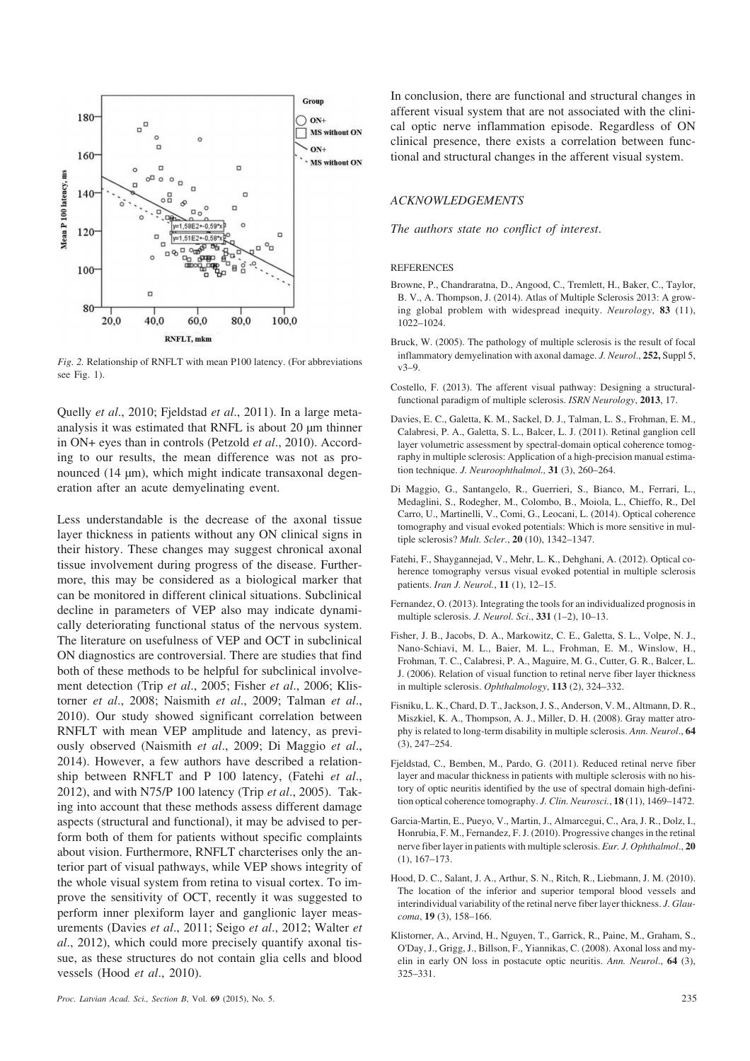

*Fig. 2.* Relationship of RNFLT with mean P100 latency. (For abbreviations see Fig. 1).

Quelly *et al*., 2010; Fjeldstad *et al*., 2011). In a large metaanalysis it was estimated that RNFL is about 20 µm thinner in ON+ eyes than in controls (Petzold *et al*., 2010). According to our results, the mean difference was not as pronounced (14 µm), which might indicate transaxonal degeneration after an acute demyelinating event.

Less understandable is the decrease of the axonal tissue layer thickness in patients without any ON clinical signs in their history. These changes may suggest chronical axonal tissue involvement during progress of the disease. Furthermore, this may be considered as a biological marker that can be monitored in different clinical situations. Subclinical decline in parameters of VEP also may indicate dynamically deteriorating functional status of the nervous system. The literature on usefulness of VEP and OCT in subclinical ON diagnostics are controversial. There are studies that find both of these methods to be helpful for subclinical involvement detection (Trip *et al*., 2005; Fisher *et al*., 2006; Klistorner *et al*., 2008; Naismith *et al*., 2009; Talman *et al*., 2010). Our study showed significant correlation between RNFLT with mean VEP amplitude and latency, as previously observed (Naismith *et al*., 2009; Di Maggio *et al*., 2014). However, a few authors have described a relationship between RNFLT and P 100 latency, (Fatehi *et al*., 2012), and with N75/P 100 latency (Trip *et al*., 2005). Taking into account that these methods assess different damage aspects (structural and functional), it may be advised to perform both of them for patients without specific complaints about vision. Furthermore, RNFLT charcterises only the anterior part of visual pathways, while VEP shows integrity of the whole visual system from retina to visual cortex. To improve the sensitivity of OCT, recently it was suggested to perform inner plexiform layer and ganglionic layer measurements (Davies *et al*., 2011; Seigo *et al*., 2012; Walter *et al*., 2012), which could more precisely quantify axonal tissue, as these structures do not contain glia cells and blood vessels (Hood *et al*., 2010).

In conclusion, there are functional and structural changes in afferent visual system that are not associated with the clinical optic nerve inflammation episode. Regardless of ON clinical presence, there exists a correlation between functional and structural changes in the afferent visual system.

## *ACKNOWLEDGEMENTS*

*The authors state no conflict of interest*.

#### REFERENCES

- Browne, P., Chandraratna, D., Angood, C., Tremlett, H., Baker, C., Taylor, B. V., A. Thompson, J. (2014). Atlas of Multiple Sclerosis 2013: A growing global problem with widespread inequity. *Neurology*, **83** (11), 1022–1024.
- Bruck, W. (2005). The pathology of multiple sclerosis is the result of focal inflammatory demyelination with axonal damage. *J. Neurol*., **252,** Suppl 5, v3–9.
- Costello, F. (2013). The afferent visual pathway: Designing a structuralfunctional paradigm of multiple sclerosis. *ISRN Neurology*, **2013**, 17.
- Davies, E. C., Galetta, K. M., Sackel, D. J., Talman, L. S., Frohman, E. M., Calabresi, P. A., Galetta, S. L., Balcer, L. J. (2011). Retinal ganglion cell layer volumetric assessment by spectral-domain optical coherence tomography in multiple sclerosis: Application of a high-precision manual estimation technique. *J. Neuroophthalmol.,* **31** (3), 260–264.
- Di Maggio, G., Santangelo, R., Guerrieri, S., Bianco, M., Ferrari, L., Medaglini, S., Rodegher, M., Colombo, B., Moiola, L., Chieffo, R., Del Carro, U., Martinelli, V., Comi, G., Leocani, L. (2014). Optical coherence tomography and visual evoked potentials: Which is more sensitive in multiple sclerosis? *Mult. Scler*., **20** (10), 1342–1347.
- Fatehi, F., Shaygannejad, V., Mehr, L. K., Dehghani, A. (2012). Optical coherence tomography versus visual evoked potential in multiple sclerosis patients. *Iran J. Neurol.*, **11** (1), 12–15.
- Fernandez, O. (2013). Integrating the tools for an individualized prognosis in multiple sclerosis. *J. Neurol. Sci*., **331** (1–2), 10–13.
- Fisher, J. B., Jacobs, D. A., Markowitz, C. E., Galetta, S. L., Volpe, N. J., Nano-Schiavi, M. L., Baier, M. L., Frohman, E. M., Winslow, H., Frohman, T. C., Calabresi, P. A., Maguire, M. G., Cutter, G. R., Balcer, L. J. (2006). Relation of visual function to retinal nerve fiber layer thickness in multiple sclerosis. *Ophthalmology*, **113** (2), 324–332.
- Fisniku, L. K., Chard, D. T., Jackson, J. S., Anderson, V. M., Altmann, D. R., Miszkiel, K. A., Thompson, A. J., Miller, D. H. (2008). Gray matter atrophy is related to long-term disability in multiple sclerosis. *Ann. Neurol*., **64** (3), 247–254.
- Fjeldstad, C., Bemben, M., Pardo, G. (2011). Reduced retinal nerve fiber layer and macular thickness in patients with multiple sclerosis with no history of optic neuritis identified by the use of spectral domain high-definition optical coherence tomography. *J. Clin. Neurosci.*, **18** (11), 1469–1472.
- Garcia-Martin, E., Pueyo, V., Martin, J., Almarcegui, C., Ara, J. R., Dolz, I., Honrubia, F. M., Fernandez, F. J. (2010). Progressive changes in the retinal nerve fiber layer in patients with multiple sclerosis. *Eur. J. Ophthalmol*., **20** (1), 167–173.
- Hood, D. C., Salant, J. A., Arthur, S. N., Ritch, R., Liebmann, J. M. (2010). The location of the inferior and superior temporal blood vessels and interindividual variability of the retinal nerve fiber layer thickness. *J. Glaucoma*, **19** (3), 158–166.
- Klistorner, A., Arvind, H., Nguyen, T., Garrick, R., Paine, M., Graham, S., O'Day, J., Grigg, J., Billson, F., Yiannikas, C. (2008). Axonal loss and myelin in early ON loss in postacute optic neuritis. *Ann. Neurol*., **64** (3), 325–331.